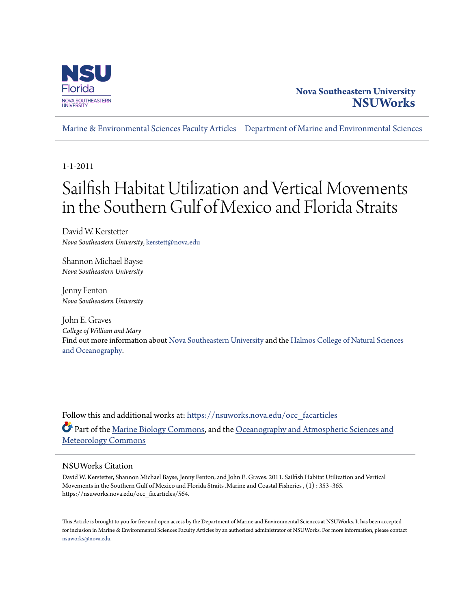

### **Nova Southeastern University [NSUWorks](https://nsuworks.nova.edu?utm_source=nsuworks.nova.edu%2Focc_facarticles%2F564&utm_medium=PDF&utm_campaign=PDFCoverPages)**

[Marine & Environmental Sciences Faculty Articles](https://nsuworks.nova.edu/occ_facarticles?utm_source=nsuworks.nova.edu%2Focc_facarticles%2F564&utm_medium=PDF&utm_campaign=PDFCoverPages) [Department of Marine and Environmental Sciences](https://nsuworks.nova.edu/cnso_mes?utm_source=nsuworks.nova.edu%2Focc_facarticles%2F564&utm_medium=PDF&utm_campaign=PDFCoverPages)

1-1-2011

# Sailfish Habitat Utilization and Vertical Movements in the Southern Gulf of Mexico and Florida Straits

David W. Kerstetter *Nova Southeastern University*, kerstett@nova.edu

Shannon Michael Bayse *Nova Southeastern University*

Jenny Fenton *Nova Southeastern University*

John E. Graves *College of William and Mary* Find out more information about [Nova Southeastern University](http://www.nova.edu/) and the [Halmos College of Natural Sciences](https://cnso.nova.edu) [and Oceanography.](https://cnso.nova.edu)

Follow this and additional works at: [https://nsuworks.nova.edu/occ\\_facarticles](https://nsuworks.nova.edu/occ_facarticles?utm_source=nsuworks.nova.edu%2Focc_facarticles%2F564&utm_medium=PDF&utm_campaign=PDFCoverPages) Part of the [Marine Biology Commons,](http://network.bepress.com/hgg/discipline/1126?utm_source=nsuworks.nova.edu%2Focc_facarticles%2F564&utm_medium=PDF&utm_campaign=PDFCoverPages) and the [Oceanography and Atmospheric Sciences and](http://network.bepress.com/hgg/discipline/186?utm_source=nsuworks.nova.edu%2Focc_facarticles%2F564&utm_medium=PDF&utm_campaign=PDFCoverPages) [Meteorology Commons](http://network.bepress.com/hgg/discipline/186?utm_source=nsuworks.nova.edu%2Focc_facarticles%2F564&utm_medium=PDF&utm_campaign=PDFCoverPages)

### NSUWorks Citation

David W. Kerstetter, Shannon Michael Bayse, Jenny Fenton, and John E. Graves. 2011. Sailfish Habitat Utilization and Vertical Movements in the Southern Gulf of Mexico and Florida Straits .Marine and Coastal Fisheries , (1) : 353 -365. https://nsuworks.nova.edu/occ\_facarticles/564.

This Article is brought to you for free and open access by the Department of Marine and Environmental Sciences at NSUWorks. It has been accepted for inclusion in Marine & Environmental Sciences Faculty Articles by an authorized administrator of NSUWorks. For more information, please contact [nsuworks@nova.edu.](mailto:nsuworks@nova.edu)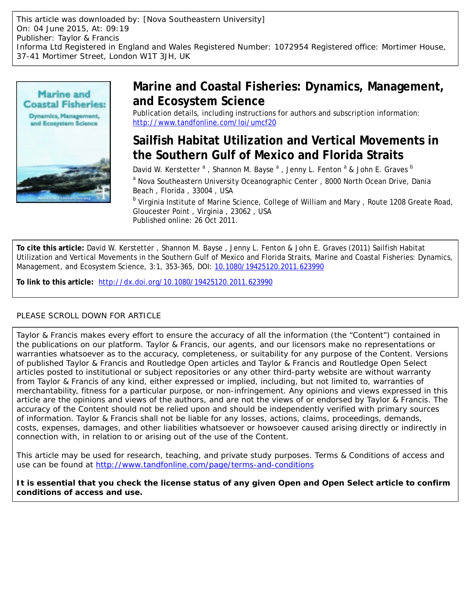This article was downloaded by: [Nova Southeastern University] On: 04 June 2015, At: 09:19 Publisher: Taylor & Francis Informa Ltd Registered in England and Wales Registered Number: 1072954 Registered office: Mortimer House, 37-41 Mortimer Street, London W1T 3JH, UK



# **Marine and Coastal Fisheries: Dynamics, Management, and Ecosystem Science**

Publication details, including instructions for authors and subscription information: <http://www.tandfonline.com/loi/umcf20>

# **Sailfish Habitat Utilization and Vertical Movements in the Southern Gulf of Mexico and Florida Straits**

David W. Kerstetter <sup>a</sup>, Shannon M. Bayse <sup>a</sup>, Jenny L. Fenton <sup>a</sup> & John E. Graves <sup>b</sup> <sup>a</sup> Nova Southeastern University Oceanographic Center, 8000 North Ocean Drive, Dania Beach , Florida , 33004 , USA

<sup>b</sup> Virginia Institute of Marine Science, College of William and Mary , Route 1208 Greate Road, Gloucester Point , Virginia , 23062 , USA Published online: 26 Oct 2011.

**To cite this article:** David W. Kerstetter , Shannon M. Bayse , Jenny L. Fenton & John E. Graves (2011) Sailfish Habitat Utilization and Vertical Movements in the Southern Gulf of Mexico and Florida Straits, Marine and Coastal Fisheries: Dynamics, Management, and Ecosystem Science, 3:1, 353-365, DOI: [10.1080/19425120.2011.623990](http://www.tandfonline.com/action/showCitFormats?doi=10.1080/19425120.2011.623990)

**To link to this article:** <http://dx.doi.org/10.1080/19425120.2011.623990>

### PLEASE SCROLL DOWN FOR ARTICLE

Taylor & Francis makes every effort to ensure the accuracy of all the information (the "Content") contained in the publications on our platform. Taylor & Francis, our agents, and our licensors make no representations or warranties whatsoever as to the accuracy, completeness, or suitability for any purpose of the Content. Versions of published Taylor & Francis and Routledge Open articles and Taylor & Francis and Routledge Open Select articles posted to institutional or subject repositories or any other third-party website are without warranty from Taylor & Francis of any kind, either expressed or implied, including, but not limited to, warranties of merchantability, fitness for a particular purpose, or non-infringement. Any opinions and views expressed in this article are the opinions and views of the authors, and are not the views of or endorsed by Taylor & Francis. The accuracy of the Content should not be relied upon and should be independently verified with primary sources of information. Taylor & Francis shall not be liable for any losses, actions, claims, proceedings, demands, costs, expenses, damages, and other liabilities whatsoever or howsoever caused arising directly or indirectly in connection with, in relation to or arising out of the use of the Content.

This article may be used for research, teaching, and private study purposes. Terms & Conditions of access and use can be found at <http://www.tandfonline.com/page/terms-and-conditions>

**It is essential that you check the license status of any given Open and Open Select article to confirm conditions of access and use.**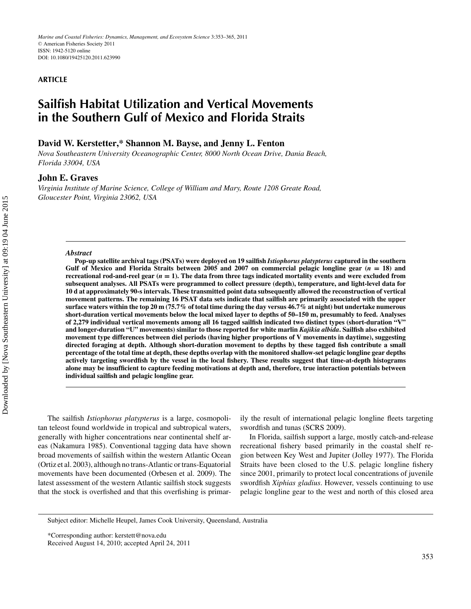*Marine and Coastal Fisheries: Dynamics, Management, and Ecosystem Science* 3:353–365, 2011 <sup>C</sup> American Fisheries Society 2011 ISSN: 1942-5120 online DOI: 10.1080/19425120.2011.623990

#### **ARTICLE**

## **Sailfish Habitat Utilization and Vertical Movements in the Southern Gulf of Mexico and Florida Straits**

#### **David W. Kerstetter,\* Shannon M. Bayse, and Jenny L. Fenton**

*Nova Southeastern University Oceanographic Center, 8000 North Ocean Drive, Dania Beach, Florida 33004, USA*

#### **John E. Graves**

*Virginia Institute of Marine Science, College of William and Mary, Route 1208 Greate Road, Gloucester Point, Virginia 23062, USA*

#### *Abstract*

**Pop-up satellite archival tags (PSATs) were deployed on 19 sailfish** *Istiophorus platypterus* **captured in the southern Gulf of Mexico and Florida Straits between 2005 and 2007 on commercial pelagic longline gear (***n* **= 18) and recreational rod-and-reel gear (***n* **= 1). The data from three tags indicated mortality events and were excluded from subsequent analyses. All PSATs were programmed to collect pressure (depth), temperature, and light-level data for 10 d at approximately 90-s intervals. These transmitted point data subsequently allowed the reconstruction of vertical movement patterns. The remaining 16 PSAT data sets indicate that sailfish are primarily associated with the upper surface waters within the top 20 m (75.7% of total time during the day versus 46.7% at night) but undertake numerous short-duration vertical movements below the local mixed layer to depths of 50–150 m, presumably to feed. Analyses of 2,279 individual vertical movements among all 16 tagged sailfish indicated two distinct types (short-duration "V" and longer-duration "U" movements) similar to those reported for white marlin** *Kajikia albida***. Sailfish also exhibited movement type differences between diel periods (having higher proportions of V movements in daytime), suggesting directed foraging at depth. Although short-duration movement to depths by these tagged fish contribute a small percentage of the total time at depth, these depths overlap with the monitored shallow-set pelagic longline gear depths actively targeting swordfish by the vessel in the local fishery. These results suggest that time-at-depth histograms alone may be insufficient to capture feeding motivations at depth and, therefore, true interaction potentials between individual sailfish and pelagic longline gear.**

The sailfish *Istiophorus platypterus* is a large, cosmopolitan teleost found worldwide in tropical and subtropical waters, generally with higher concentrations near continental shelf areas (Nakamura 1985). Conventional tagging data have shown broad movements of sailfish within the western Atlantic Ocean (Ortiz et al. 2003), although no trans-Atlantic or trans-Equatorial movements have been documented (Orbesen et al. 2009). The latest assessment of the western Atlantic sailfish stock suggests that the stock is overfished and that this overfishing is primarily the result of international pelagic longline fleets targeting swordfish and tunas (SCRS 2009).

In Florida, sailfish support a large, mostly catch-and-release recreational fishery based primarily in the coastal shelf region between Key West and Jupiter (Jolley 1977). The Florida Straits have been closed to the U.S. pelagic longline fishery since 2001, primarily to protect local concentrations of juvenile swordfish *Xiphias gladius*. However, vessels continuing to use pelagic longline gear to the west and north of this closed area

Subject editor: Michelle Heupel, James Cook University, Queensland, Australia

<sup>\*</sup>Corresponding author: kerstett@nova.edu

Received August 14, 2010; accepted April 24, 2011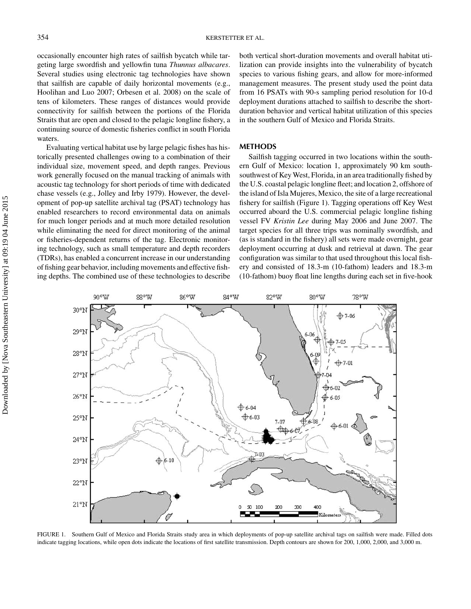occasionally encounter high rates of sailfish bycatch while targeting large swordfish and yellowfin tuna *Thunnus albacares*. Several studies using electronic tag technologies have shown that sailfish are capable of daily horizontal movements (e.g., Hoolihan and Luo 2007; Orbesen et al. 2008) on the scale of tens of kilometers. These ranges of distances would provide connectivity for sailfish between the portions of the Florida Straits that are open and closed to the pelagic longline fishery, a continuing source of domestic fisheries conflict in south Florida waters.

Evaluating vertical habitat use by large pelagic fishes has historically presented challenges owing to a combination of their individual size, movement speed, and depth ranges. Previous work generally focused on the manual tracking of animals with acoustic tag technology for short periods of time with dedicated chase vessels (e.g., Jolley and Irby 1979). However, the development of pop-up satellite archival tag (PSAT) technology has enabled researchers to record environmental data on animals for much longer periods and at much more detailed resolution while eliminating the need for direct monitoring of the animal or fisheries-dependent returns of the tag. Electronic monitoring technology, such as small temperature and depth recorders (TDRs), has enabled a concurrent increase in our understanding of fishing gear behavior, including movements and effective fishing depths. The combined use of these technologies to describe

both vertical short-duration movements and overall habitat utilization can provide insights into the vulnerability of bycatch species to various fishing gears, and allow for more-informed management measures. The present study used the point data from 16 PSATs with 90-s sampling period resolution for 10-d deployment durations attached to sailfish to describe the shortduration behavior and vertical habitat utilization of this species in the southern Gulf of Mexico and Florida Straits.

#### **METHODS**

Sailfish tagging occurred in two locations within the southern Gulf of Mexico: location 1, approximately 90 km southsouthwest of Key West, Florida, in an area traditionally fished by the U.S. coastal pelagic longline fleet; and location 2, offshore of the island of Isla Mujeres, Mexico, the site of a large recreational fishery for sailfish (Figure 1). Tagging operations off Key West occurred aboard the U.S. commercial pelagic longline fishing vessel FV *Kristin Lee* during May 2006 and June 2007. The target species for all three trips was nominally swordfish, and (as is standard in the fishery) all sets were made overnight, gear deployment occurring at dusk and retrieval at dawn. The gear configuration was similar to that used throughout this local fishery and consisted of 18.3-m (10-fathom) leaders and 18.3-m (10-fathom) buoy float line lengths during each set in five-hook



FIGURE 1. Southern Gulf of Mexico and Florida Straits study area in which deployments of pop-up satellite archival tags on sailfish were made. Filled dots indicate tagging locations, while open dots indicate the locations of first satellite transmission. Depth contours are shown for 200, 1,000, 2,000, and 3,000 m.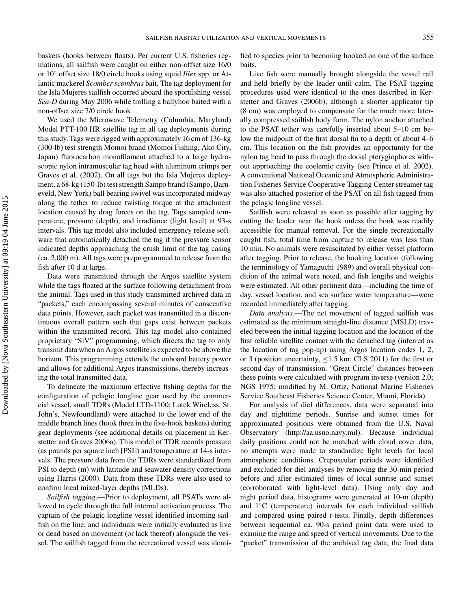baskets (hooks between floats). Per current U.S. fisheries regulations, all sailfish were caught on either non-offset size 16/0 or 10◦ offset size 18/0 circle hooks using squid *Illex* spp. or Atlantic mackerel *Scomber scombrus* bait. The tag deployment for the Isla Mujeres sailfish occurred aboard the sportfishing vessel *Sea-D* during May 2006 while trolling a ballyhoo baited with a non-offset size 7/0 circle hook.

We used the Microwave Telemetry (Columbia, Maryland) Model PTT-100 HR satellite tag in all tag deployments during this study. Tags were rigged with approximately 16 cm of 136-kg (300-lb) test strength Momoi brand (Momoi Fishing, Ako City, Japan) fluorocarbon monofilament attached to a large hydroscopic nylon intramuscular tag head with aluminum crimps per Graves et al. (2002). On all tags but the Isla Mujeres deployment, a 68-kg (150-lb) test strength Sampo brand (Sampo, Barneveld, New York) ball bearing swivel was incorporated midway along the tether to reduce twisting torque at the attachment location caused by drag forces on the tag. Tags sampled temperature, pressure (depth), and irradiance (light level) at 93-s intervals. This tag model also included emergency release software that automatically detached the tag if the pressure sensor indicated depths approaching the crush limit of the tag casing (ca. 2,000 m). All tags were preprogrammed to release from the fish after 10 d at large.

Data were transmitted through the Argos satellite system while the tags floated at the surface following detachment from the animal. Tags used in this study transmitted archived data in "packets," each encompassing several minutes of consecutive data points. However, each packet was transmitted in a discontinuous overall pattern such that gaps exist between packets within the transmitted record. This tag model also contained proprietary "SiV" programming, which directs the tag to only transmit data when an Argos satellite is expected to be above the horizon. This programming extends the onboard battery power and allows for additional Argos transmissions, thereby increasing the total transmitted data.

To delineate the maximum effective fishing depths for the configuration of pelagic longline gear used by the commercial vessel, small TDRs (Model LTD-1100; Lotek Wireless, St. John's, Newfoundland) were attached to the lower end of the middle branch lines (hook three in the five-hook baskets) during gear deployments (see additional details on placement in Kerstetter and Graves 2006a). This model of TDR records pressure (as pounds per square inch [PSI]) and temperature at 14-s intervals. The pressure data from the TDRs were standardized from PSI to depth (m) with latitude and seawater density corrections using Harris (2000). Data from these TDRs were also used to confirm local mixed-layer depths (MLDs).

*Sailfish tagging*.—Prior to deployment, all PSATs were allowed to cycle through the full internal activation process. The captain of the pelagic longline vessel identified incoming sailfish on the line, and individuals were initially evaluated as live or dead based on movement (or lack thereof) alongside the vessel. The sailfish tagged from the recreational vessel was identi-

fied to species prior to becoming hooked on one of the surface baits.

Live fish were manually brought alongside the vessel rail and held briefly by the leader until calm. The PSAT tagging procedures used were identical to the ones described in Kerstetter and Graves (2006b), although a shorter applicator tip (8 cm) was employed to compensate for the much more laterally compressed sailfish body form. The nylon anchor attached to the PSAT tether was carefully inserted about 5–10 cm below the midpoint of the first dorsal fin to a depth of about 4–6 cm. This location on the fish provides an opportunity for the nylon tag head to pass through the dorsal pterygiophores without approaching the coelemic cavity (see Prince et al. 2002). A conventional National Oceanic and Atmospheric Administration Fisheries Service Cooperative Tagging Center streamer tag was also attached posterior of the PSAT on all fish tagged from the pelagic longline vessel.

Sailfish were released as soon as possible after tagging by cutting the leader near the hook unless the hook was readily accessible for manual removal. For the single recreationally caught fish, total time from capture to release was less than 10 min. No animals were resuscitated by either vessel platform after tagging. Prior to release, the hooking location (following the terminology of Yamaguchi 1989) and overall physical condition of the animal were noted, and fish lengths and weights were estimated. All other pertinent data—including the time of day, vessel location, and sea surface water temperature—were recorded immediately after tagging.

*Data analysis*.—The net movement of tagged sailfish was estimated as the minimum straight-line distance (MSLD) traveled between the initial tagging location and the location of the first reliable satellite contact with the detached tag (inferred as the location of tag pop-up) using Argos location codes 1, 2, or 3 (position uncertainty,  $\leq$ 1.5 km; CLS 2011) for the first or second day of transmission. "Great Circle" distances between these points were calculated with program inverse (version 2.0; NGS 1975; modified by M. Ortiz, National Marine Fisheries Service Southeast Fisheries Science Center, Miami, Florida).

For analysis of diel differences, data were separated into day and nighttime periods. Sunrise and sunset times for approximated positions were obtained from the U.S. Naval Observatory (http://aa.usno.navy.mil). Because individual daily positions could not be matched with cloud cover data, no attempts were made to standardize light levels for local atmospheric conditions. Crepuscular periods were identified and excluded for diel analyses by removing the 30-min period before and after estimated times of local sunrise and sunset (corroborated with light-level data). Using only day and night period data, histograms were generated at 10-m (depth) and 1◦C (temperature) intervals for each individual sailfish and compared using paired *t*-tests. Finally, depth differences between sequential ca. 90-s period point data were used to examine the range and speed of vertical movements. Due to the "packet" transmission of the archived tag data, the final data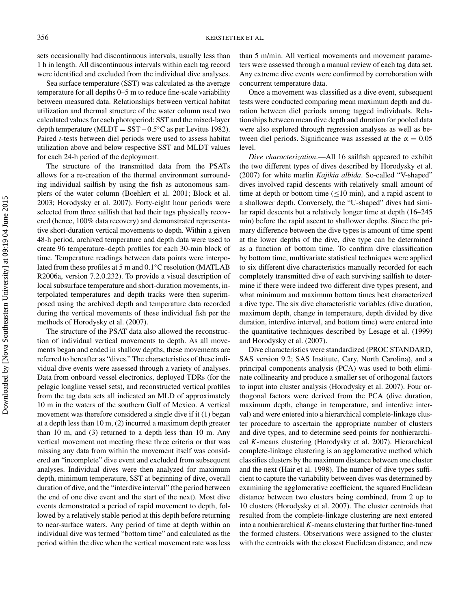sets occasionally had discontinuous intervals, usually less than 1 h in length. All discontinuous intervals within each tag record were identified and excluded from the individual dive analyses.

Sea surface temperature (SST) was calculated as the average temperature for all depths 0–5 m to reduce fine-scale variability between measured data. Relationships between vertical habitat utilization and thermal structure of the water column used two calculated values for each photoperiod: SST and the mixed-layer depth temperature (MLDT =  $SST - 0.5$ °C as per Levitus 1982). Paired *t*-tests between diel periods were used to assess habitat utilization above and below respective SST and MLDT values for each 24-h period of the deployment.

The structure of the transmitted data from the PSATs allows for a re-creation of the thermal environment surrounding individual sailfish by using the fish as autonomous samplers of the water column (Boehlert et al. 2001; Block et al. 2003; Horodysky et al. 2007). Forty-eight hour periods were selected from three sailfish that had their tags physically recovered (hence, 100% data recovery) and demonstrated representative short-duration vertical movements to depth. Within a given 48-h period, archived temperature and depth data were used to create 96 temperature–depth profiles for each 30-min block of time. Temperature readings between data points were interpolated from these profiles at 5 m and 0.1◦C resolution (MATLAB R2006a, version 7.2.0.232). To provide a visual description of local subsurface temperature and short-duration movements, interpolated temperatures and depth tracks were then superimposed using the archived depth and temperature data recorded during the vertical movements of these individual fish per the methods of Horodysky et al. (2007).

The structure of the PSAT data also allowed the reconstruction of individual vertical movements to depth. As all movements began and ended in shallow depths, these movements are referred to hereafter as "dives." The characteristics of these individual dive events were assessed through a variety of analyses. Data from onboard vessel electronics, deployed TDRs (for the pelagic longline vessel sets), and reconstructed vertical profiles from the tag data sets all indicated an MLD of approximately 10 m in the waters of the southern Gulf of Mexico. A vertical movement was therefore considered a single dive if it (1) began at a depth less than 10 m, (2) incurred a maximum depth greater than 10 m, and (3) returned to a depth less than 10 m. Any vertical movement not meeting these three criteria or that was missing any data from within the movement itself was considered an "incomplete" dive event and excluded from subsequent analyses. Individual dives were then analyzed for maximum depth, minimum temperature, SST at beginning of dive, overall duration of dive, and the "interdive interval" (the period between the end of one dive event and the start of the next). Most dive events demonstrated a period of rapid movement to depth, followed by a relatively stable period at this depth before returning to near-surface waters. Any period of time at depth within an individual dive was termed "bottom time" and calculated as the period within the dive when the vertical movement rate was less

than 5 m/min. All vertical movements and movement parameters were assessed through a manual review of each tag data set. Any extreme dive events were confirmed by corroboration with concurrent temperature data.

Once a movement was classified as a dive event, subsequent tests were conducted comparing mean maximum depth and duration between diel periods among tagged individuals. Relationships between mean dive depth and duration for pooled data were also explored through regression analyses as well as between diel periods. Significance was assessed at the  $\alpha = 0.05$ level.

*Dive characterization*.—All 16 sailfish appeared to exhibit the two different types of dives described by Horodysky et al. (2007) for white marlin *Kajikia albida*. So-called "V-shaped" dives involved rapid descents with relatively small amount of time at depth or bottom time  $(\leq 10 \text{ min})$ , and a rapid ascent to a shallower depth. Conversely, the "U-shaped" dives had similar rapid descents but a relatively longer time at depth (16–245 min) before the rapid ascent to shallower depths. Since the primary difference between the dive types is amount of time spent at the lower depths of the dive, dive type can be determined as a function of bottom time. To confirm dive classification by bottom time, multivariate statistical techniques were applied to six different dive characteristics manually recorded for each completely transmitted dive of each surviving sailfish to determine if there were indeed two different dive types present, and what minimum and maximum bottom times best characterized a dive type. The six dive characteristic variables (dive duration, maximum depth, change in temperature, depth divided by dive duration, interdive interval, and bottom time) were entered into the quantitative techniques described by Lesage et al. (1999) and Horodysky et al. (2007).

Dive characteristics were standardized (PROC STANDARD, SAS version 9.2; SAS Institute, Cary, North Carolina), and a principal components analysis (PCA) was used to both eliminate collinearity and produce a smaller set of orthogonal factors to input into cluster analysis (Horodysky et al. 2007). Four orthogonal factors were derived from the PCA (dive duration, maximum depth, change in temperature, and interdive interval) and were entered into a hierarchical complete-linkage cluster procedure to ascertain the appropriate number of clusters and dive types, and to determine seed points for nonhierarchical *K*-means clustering (Horodysky et al. 2007). Hierarchical complete-linkage clustering is an agglomerative method which classifies clusters by the maximum distance between one cluster and the next (Hair et al. 1998). The number of dive types sufficient to capture the variability between dives was determined by examining the agglomerative coefficient, the squared Euclidean distance between two clusters being combined, from 2 up to 10 clusters (Horodysky et al. 2007). The cluster centroids that resulted from the complete-linkage clustering are next entered into a nonhierarchical*K*-means clustering that further fine-tuned the formed clusters. Observations were assigned to the cluster with the centroids with the closest Euclidean distance, and new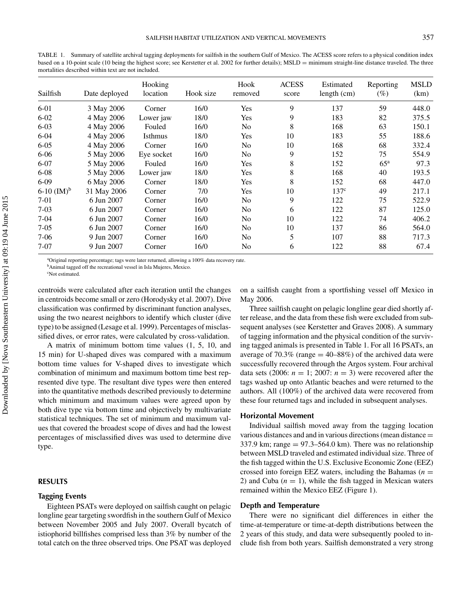TABLE 1. Summary of satellite archival tagging deployments for sailfish in the southern Gulf of Mexico. The ACESS score refers to a physical condition index based on a 10-point scale (10 being the highest score; see Kerstetter et al. 2002 for further details); MSLD = minimum straight-line distance traveled. The three mortalities described within text are not included.

| Sailfish       | Date deployed | Hooking<br>location | Hook size | Hook<br>removed | <b>ACESS</b><br>score | Estimated<br>length (cm) | Reporting<br>$(\%)$ | <b>MSLD</b><br>(km) |
|----------------|---------------|---------------------|-----------|-----------------|-----------------------|--------------------------|---------------------|---------------------|
| $6 - 01$       | 3 May 2006    | Corner              | 16/0      | Yes             | 9                     | 137                      | 59                  | 448.0               |
| $6 - 02$       | 4 May 2006    | Lower jaw           | 18/0      | Yes             | 9                     | 183                      | 82                  | 375.5               |
| $6 - 03$       | 4 May 2006    | Fouled              | 16/0      | No              | 8                     | 168                      | 63                  | 150.1               |
| $6-04$         | 4 May 2006    | Isthmus             | 18/0      | <b>Yes</b>      | 10                    | 183                      | 55                  | 188.6               |
| $6 - 05$       | 4 May 2006    | Corner              | 16/0      | N <sub>0</sub>  | 10                    | 168                      | 68                  | 332.4               |
| $6 - 06$       | 5 May 2006    | Eye socket          | 16/0      | No.             | 9                     | 152                      | 75                  | 554.9               |
| $6 - 07$       | 5 May 2006    | Fouled              | 16/0      | Yes             | 8                     | 152                      | 65 <sup>a</sup>     | 97.3                |
| $6 - 08$       | 5 May 2006    | Lower jaw           | 18/0      | Yes             | 8                     | 168                      | 40                  | 193.5               |
| $6-09$         | 6 May 2006    | Corner              | 18/0      | Yes             | 8                     | 152                      | 68                  | 447.0               |
| 6-10 $(M)^{b}$ | 31 May 2006   | Corner              | 7/0       | <b>Yes</b>      | 10                    | 137 <sup>c</sup>         | 49                  | 217.1               |
| $7 - 01$       | 6 Jun 2007    | Corner              | 16/0      | No.             | 9                     | 122                      | 75                  | 522.9               |
| $7-03$         | 6 Jun 2007    | Corner              | 16/0      | No              | 6                     | 122                      | 87                  | 125.0               |
| $7-04$         | 6 Jun 2007    | Corner              | 16/0      | No              | 10                    | 122                      | 74                  | 406.2               |
| $7 - 05$       | 6 Jun 2007    | Corner              | 16/0      | No              | 10                    | 137                      | 86                  | 564.0               |
| $7-06$         | 9 Jun 2007    | Corner              | 16/0      | No.             | 5                     | 107                      | 88                  | 717.3               |
| $7 - 07$       | 9 Jun 2007    | Corner              | 16/0      | No              | 6                     | 122                      | 88                  | 67.4                |

<sup>a</sup>Original reporting percentage; tags were later returned, allowing a 100% data recovery rate.

<sup>b</sup>Animal tagged off the recreational vessel in Isla Mujeres, Mexico.

c Not estimated.

centroids were calculated after each iteration until the changes in centroids become small or zero (Horodysky et al. 2007). Dive classification was confirmed by discriminant function analyses, using the two nearest neighbors to identify which cluster (dive type) to be assigned (Lesage et al. 1999). Percentages of misclassified dives, or error rates, were calculated by cross-validation.

A matrix of minimum bottom time values (1, 5, 10, and 15 min) for U-shaped dives was compared with a maximum bottom time values for V-shaped dives to investigate which combination of minimum and maximum bottom time best represented dive type. The resultant dive types were then entered into the quantitative methods described previously to determine which minimum and maximum values were agreed upon by both dive type via bottom time and objectively by multivariate statistical techniques. The set of minimum and maximum values that covered the broadest scope of dives and had the lowest percentages of misclassified dives was used to determine dive type.

#### **RESULTS**

#### **Tagging Events**

Eighteen PSATs were deployed on sailfish caught on pelagic longline gear targeting swordfish in the southern Gulf of Mexico between November 2005 and July 2007. Overall bycatch of istiophorid billfishes comprised less than 3% by number of the total catch on the three observed trips. One PSAT was deployed

on a sailfish caught from a sportfishing vessel off Mexico in May 2006.

Three sailfish caught on pelagic longline gear died shortly after release, and the data from these fish were excluded from subsequent analyses (see Kerstetter and Graves 2008). A summary of tagging information and the physical condition of the surviving tagged animals is presented in Table 1. For all 16 PSATs, an average of 70.3% (range  $=$  40–88%) of the archived data were successfully recovered through the Argos system. Four archival data sets (2006:  $n = 1$ ; 2007:  $n = 3$ ) were recovered after the tags washed up onto Atlantic beaches and were returned to the authors. All (100%) of the archived data were recovered from these four returned tags and included in subsequent analyses.

#### **Horizontal Movement**

Individual sailfish moved away from the tagging location various distances and and in various directions (mean distance = 337.9 km; range  $= 97.3 - 564.0$  km). There was no relationship between MSLD traveled and estimated individual size. Three of the fish tagged within the U.S. Exclusive Economic Zone (EEZ) crossed into foreign EEZ waters, including the Bahamas  $(n =$ 2) and Cuba  $(n = 1)$ , while the fish tagged in Mexican waters remained within the Mexico EEZ (Figure 1).

#### **Depth and Temperature**

There were no significant diel differences in either the time-at-temperature or time-at-depth distributions between the 2 years of this study, and data were subsequently pooled to include fish from both years. Sailfish demonstrated a very strong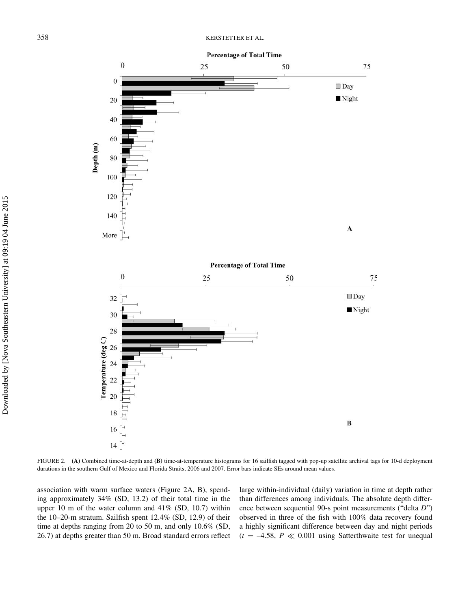

FIGURE 2. **(A)** Combined time-at-depth and **(B)** time-at-temperature histograms for 16 sailfish tagged with pop-up satellite archival tags for 10-d deployment durations in the southern Gulf of Mexico and Florida Straits, 2006 and 2007. Error bars indicate SEs around mean values.

association with warm surface waters (Figure 2A, B), spending approximately 34% (SD, 13.2) of their total time in the upper 10 m of the water column and 41% (SD, 10.7) within the 10–20-m stratum. Sailfish spent 12.4% (SD, 12.9) of their time at depths ranging from 20 to 50 m, and only 10.6% (SD, 26.7) at depths greater than 50 m. Broad standard errors reflect

large within-individual (daily) variation in time at depth rather than differences among individuals. The absolute depth difference between sequential 90-s point measurements ("delta *D*") observed in three of the fish with 100% data recovery found a highly significant difference between day and night periods  $(t = -4.58, P \ll 0.001$  using Satterthwaite test for unequal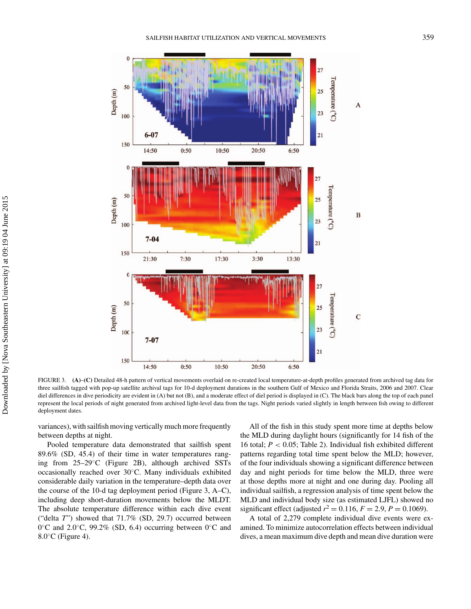

FIGURE 3. **(A)**–**(C)** Detailed 48-h pattern of vertical movements overlaid on re-created local temperature-at-depth profiles generated from archived tag data for three sailfish tagged with pop-up satellite archival tags for 10-d deployment durations in the southern Gulf of Mexico and Florida Straits, 2006 and 2007. Clear diel differences in dive periodicity are evident in (A) but not (B), and a moderate effect of diel period is displayed in (C). The black bars along the top of each panel represent the local periods of night generated from archived light-level data from the tags. Night periods varied slightly in length between fish owing to different deployment dates.

variances), with sailfish moving vertically much more frequently between depths at night.

Pooled temperature data demonstrated that sailfish spent 89.6% (SD, 45.4) of their time in water temperatures ranging from 25–29◦C (Figure 2B), although archived SSTs occasionally reached over 30◦C. Many individuals exhibited considerable daily variation in the temperature–depth data over the course of the 10-d tag deployment period (Figure 3, A–C), including deep short-duration movements below the MLDT. The absolute temperature difference within each dive event ("delta *T*") showed that 71.7% (SD, 29.7) occurred between 0◦C and 2.0◦C, 99.2% (SD, 6.4) occurring between 0◦C and  $8.0\degree$ C (Figure 4).

All of the fish in this study spent more time at depths below the MLD during daylight hours (significantly for 14 fish of the 16 total; *P <* 0.05; Table 2). Individual fish exhibited different patterns regarding total time spent below the MLD; however, of the four individuals showing a significant difference between day and night periods for time below the MLD, three were at those depths more at night and one during day. Pooling all individual sailfish, a regression analysis of time spent below the MLD and individual body size (as estimated LJFL) showed no significant effect (adjusted  $r^2 = 0.116$ ,  $F = 2.9$ ,  $P = 0.1069$ ).

A total of 2,279 complete individual dive events were examined. To minimize autocorrelation effects between individual dives, a mean maximum dive depth and mean dive duration were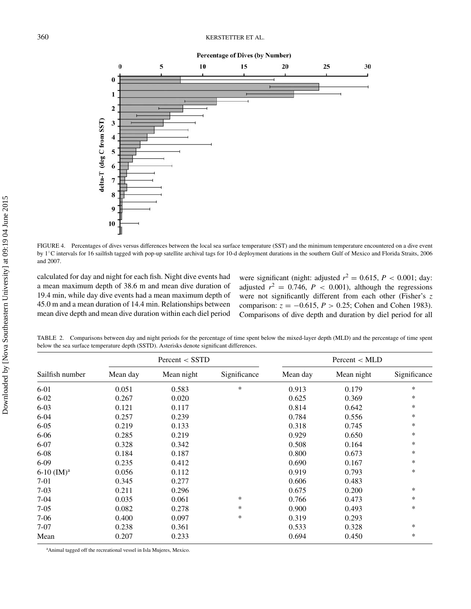**Percentage of Dives (by Number)** 



FIGURE 4. Percentages of dives versus differences between the local sea surface temperature (SST) and the minimum temperature encountered on a dive event by 1◦C intervals for 16 sailfish tagged with pop-up satellite archival tags for 10-d deployment durations in the southern Gulf of Mexico and Florida Straits, 2006 and 2007.

calculated for day and night for each fish. Night dive events had a mean maximum depth of 38.6 m and mean dive duration of 19.4 min, while day dive events had a mean maximum depth of 45.0 m and a mean duration of 14.4 min. Relationships between mean dive depth and mean dive duration within each diel period were significant (night: adjusted  $r^2 = 0.615$ ,  $P < 0.001$ ; day: adjusted  $r^2 = 0.746$ ,  $P < 0.001$ ), although the regressions were not significantly different from each other (Fisher's *z* comparison:  $z = -0.615$ ,  $P > 0.25$ ; Cohen and Cohen 1983). Comparisons of dive depth and duration by diel period for all

TABLE 2. Comparisons between day and night periods for the percentage of time spent below the mixed-layer depth (MLD) and the percentage of time spent below the sea surface temperature depth (SSTD). Asterisks denote significant differences.

|                          |          | Percent < SSTD |              |          | Percent < MLD |              |
|--------------------------|----------|----------------|--------------|----------|---------------|--------------|
| Sailfish number          | Mean day | Mean night     | Significance | Mean day | Mean night    | Significance |
| $6 - 01$                 | 0.051    | 0.583          | $\ast$       | 0.913    | 0.179         | $\ast$       |
| $6 - 02$                 | 0.267    | 0.020          |              | 0.625    | 0.369         | $\ast$       |
| $6 - 03$                 | 0.121    | 0.117          |              | 0.814    | 0.642         | *            |
| $6 - 04$                 | 0.257    | 0.239          |              | 0.784    | 0.556         | $\ast$       |
| $6 - 05$                 | 0.219    | 0.133          |              | 0.318    | 0.745         | $\ast$       |
| $6 - 06$                 | 0.285    | 0.219          |              | 0.929    | 0.650         | $\ast$       |
| $6 - 07$                 | 0.328    | 0.342          |              | 0.508    | 0.164         | $\ast$       |
| $6 - 08$                 | 0.184    | 0.187          |              | 0.800    | 0.673         | $\ast$       |
| $6-09$                   | 0.235    | 0.412          |              | 0.690    | 0.167         | $\ast$       |
| $6-10$ (IM) <sup>a</sup> | 0.056    | 0.112          |              | 0.919    | 0.793         | $\ast$       |
| $7-01$                   | 0.345    | 0.277          |              | 0.606    | 0.483         |              |
| $7 - 03$                 | 0.211    | 0.296          |              | 0.675    | 0.200         | $\ast$       |
| $7-04$                   | 0.035    | 0.061          | *            | 0.766    | 0.473         | *            |
| $7 - 05$                 | 0.082    | 0.278          | $\ast$       | 0.900    | 0.493         | $\ast$       |
| $7 - 06$                 | 0.400    | 0.097          | *            | 0.319    | 0.293         |              |
| $7 - 07$                 | 0.238    | 0.361          |              | 0.533    | 0.328         | $\ast$       |
| Mean                     | 0.207    | 0.233          |              | 0.694    | 0.450         | $\ast$       |

a Animal tagged off the recreational vessel in Isla Mujeres, Mexico.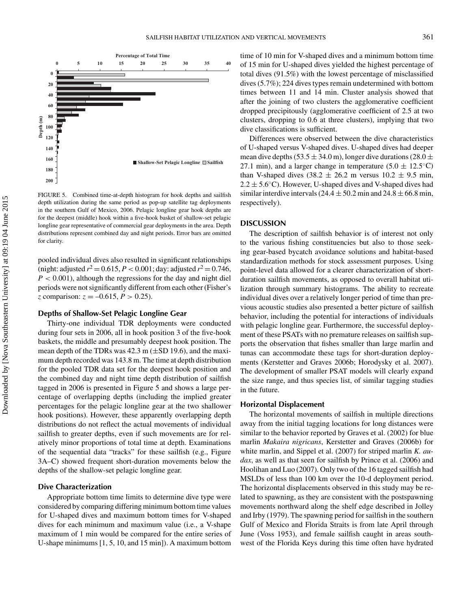

FIGURE 5. Combined time-at-depth histogram for hook depths and sailfish depth utilization during the same period as pop-up satellite tag deployments in the southern Gulf of Mexico, 2006. Pelagic longline gear hook depths are for the deepest (middle) hook within a five-hook basket of shallow-set pelagic longline gear representative of commercial gear deployments in the area. Depth distributions represent combined day and night periods. Error bars are omitted for clarity.

pooled individual dives also resulted in significant relationships (night: adjusted  $r^2 = 0.615$ ,  $P < 0.001$ ; day: adjusted  $r^2 = 0.746$ , *P <* 0.001), although the regressions for the day and night diel periods were not significantly different from each other (Fisher's *z* comparison:  $z = -0.615$ ,  $P > 0.25$ ).

#### **Depths of Shallow-Set Pelagic Longline Gear**

Thirty-one individual TDR deployments were conducted during four sets in 2006, all in hook position 3 of the five-hook baskets, the middle and presumably deepest hook position. The mean depth of the TDRs was  $42.3$  m ( $\pm$ SD 19.6), and the maximum depth recorded was 143.8 m. The time at depth distribution for the pooled TDR data set for the deepest hook position and the combined day and night time depth distribution of sailfish tagged in 2006 is presented in Figure 5 and shows a large percentage of overlapping depths (including the implied greater percentages for the pelagic longline gear at the two shallower hook positions). However, these apparently overlapping depth distributions do not reflect the actual movements of individual sailfish to greater depths, even if such movements are for relatively minor proportions of total time at depth. Examinations of the sequential data "tracks" for these sailfish (e.g., Figure 3A–C) showed frequent short-duration movements below the depths of the shallow-set pelagic longline gear.

#### **Dive Characterization**

Appropriate bottom time limits to determine dive type were considered by comparing differing minimum bottom time values for U-shaped dives and maximum bottom times for V-shaped dives for each minimum and maximum value (i.e., a V-shape maximum of 1 min would be compared for the entire series of U-shape minimums [1, 5, 10, and 15 min]). A maximum bottom

time of 10 min for V-shaped dives and a minimum bottom time of 15 min for U-shaped dives yielded the highest percentage of total dives (91.5%) with the lowest percentage of misclassified dives (5.7%); 224 dives types remain undetermined with bottom times between 11 and 14 min. Cluster analysis showed that after the joining of two clusters the agglomerative coefficient dropped precipitously (agglomerative coefficient of 2.5 at two clusters, dropping to 0.6 at three clusters), implying that two dive classifications is sufficient.

Differences were observed between the dive characteristics of U-shaped versus V-shaped dives. U-shaped dives had deeper mean dive depths (53.5  $\pm$  34.0 m), longer dive durations (28.0  $\pm$ 27.1 min), and a larger change in temperature (5.0  $\pm$  12.5<sup>°</sup>C) than V-shaped dives  $(38.2 \pm 26.2 \text{ m}$  versus  $10.2 \pm 9.5 \text{ min}$ ,  $2.2 \pm 5.6^{\circ}$ C). However, U-shaped dives and V-shaped dives had similar interdive intervals (24.4  $\pm$  50.2 min and 24.8  $\pm$  66.8 min, respectively).

#### **DISCUSSION**

The description of sailfish behavior is of interest not only to the various fishing constituencies but also to those seeking gear-based bycatch avoidance solutions and habitat-based standardization methods for stock assessment purposes. Using point-level data allowed for a clearer characterization of shortduration sailfish movements, as opposed to overall habitat utilization through summary histograms. The ability to recreate individual dives over a relatively longer period of time than previous acoustic studies also presented a better picture of sailfish behavior, including the potential for interactions of individuals with pelagic longline gear. Furthermore, the successful deployment of these PSATs with no premature releases on sailfish supports the observation that fishes smaller than large marlin and tunas can accommodate these tags for short-duration deployments (Kerstetter and Graves 2006b; Horodysky et al. 2007). The development of smaller PSAT models will clearly expand the size range, and thus species list, of similar tagging studies in the future.

#### **Horizontal Displacement**

The horizontal movements of sailfish in multiple directions away from the initial tagging locations for long distances were similar to the behavior reported by Graves et al. (2002) for blue marlin *Makaira nigricans*, Kerstetter and Graves (2006b) for white marlin, and Sippel et al. (2007) for striped marlin *K. audax*, as well as that seen for sailfish by Prince et al. (2006) and Hoolihan and Luo (2007). Only two of the 16 tagged sailfish had MSLDs of less than 100 km over the 10-d deployment period. The horizontal displacements observed in this study may be related to spawning, as they are consistent with the postspawning movements northward along the shelf edge described in Jolley and Irby (1979). The spawning period for sailfish in the southern Gulf of Mexico and Florida Straits is from late April through June (Voss 1953), and female sailfish caught in areas southwest of the Florida Keys during this time often have hydrated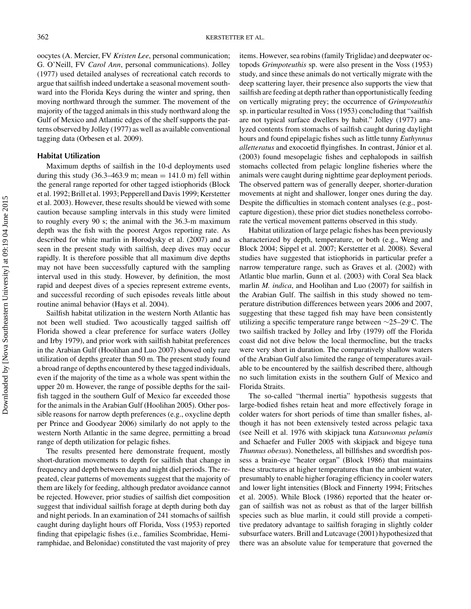oocytes (A. Mercier, FV *Kristen Lee*, personal communication; G. O'Neill, FV *Carol Ann*, personal communications). Jolley (1977) used detailed analyses of recreational catch records to argue that sailfish indeed undertake a seasonal movement southward into the Florida Keys during the winter and spring, then moving northward through the summer. The movement of the majority of the tagged animals in this study northward along the Gulf of Mexico and Atlantic edges of the shelf supports the patterns observed by Jolley (1977) as well as available conventional tagging data (Orbesen et al. 2009).

#### **Habitat Utilization**

Maximum depths of sailfish in the 10-d deployments used during this study (36.3–463.9 m; mean  $= 141.0$  m) fell within the general range reported for other tagged istiophorids (Block et al. 1992; Brill et al. 1993; Pepperell and Davis 1999; Kerstetter et al. 2003). However, these results should be viewed with some caution because sampling intervals in this study were limited to roughly every 90 s; the animal with the 36.3-m maximum depth was the fish with the poorest Argos reporting rate. As described for white marlin in Horodysky et al. (2007) and as seen in the present study with sailfish, deep dives may occur rapidly. It is therefore possible that all maximum dive depths may not have been successfully captured with the sampling interval used in this study. However, by definition, the most rapid and deepest dives of a species represent extreme events, and successful recording of such episodes reveals little about routine animal behavior (Hays et al. 2004).

Sailfish habitat utilization in the western North Atlantic has not been well studied. Two acoustically tagged sailfish off Florida showed a clear preference for surface waters (Jolley and Irby 1979), and prior work with sailfish habitat preferences in the Arabian Gulf (Hoolihan and Luo 2007) showed only rare utilization of depths greater than 50 m. The present study found a broad range of depths encountered by these tagged individuals, even if the majority of the time as a whole was spent within the upper 20 m. However, the range of possible depths for the sailfish tagged in the southern Gulf of Mexico far exceeded those for the animals in the Arabian Gulf (Hoolihan 2005). Other possible reasons for narrow depth preferences (e.g., oxycline depth per Prince and Goodyear 2006) similarly do not apply to the western North Atlantic in the same degree, permitting a broad range of depth utilization for pelagic fishes.

The results presented here demonstrate frequent, mostly short-duration movements to depth for sailfish that change in frequency and depth between day and night diel periods. The repeated, clear patterns of movements suggest that the majority of them are likely for feeding, although predator avoidance cannot be rejected. However, prior studies of sailfish diet composition suggest that individual sailfish forage at depth during both day and night periods. In an examination of 241 stomachs of sailfish caught during daylight hours off Florida, Voss (1953) reported finding that epipelagic fishes (i.e., families Scombridae, Hemiramphidae, and Belonidae) constituted the vast majority of prey

items. However, sea robins (family Triglidae) and deepwater octopods *Grimpoteuthis* sp. were also present in the Voss (1953) study, and since these animals do not vertically migrate with the deep scattering layer, their presence also supports the view that sailfish are feeding at depth rather than opportunistically feeding on vertically migrating prey; the occurrence of *Grimpoteuthis* sp. in particular resulted in Voss (1953) concluding that "sailfish are not typical surface dwellers by habit." Jolley (1977) analyzed contents from stomachs of sailfish caught during daylight hours and found epipelagic fishes such as little tunny *Euthynnus alletteratus* and exocoetid flyingfishes. In contrast, Júnior et al. (2003) found mesopelagic fishes and cephalopods in sailfish stomachs collected from pelagic longline fisheries where the animals were caught during nighttime gear deployment periods. The observed pattern was of generally deeper, shorter-duration movements at night and shallower, longer ones during the day. Despite the difficulties in stomach content analyses (e.g., postcapture digestion), these prior diet studies nonetheless corroborate the vertical movement patterns observed in this study.

Habitat utilization of large pelagic fishes has been previously characterized by depth, temperature, or both (e.g., Weng and Block 2004; Sippel et al. 2007; Kerstetter et al. 2008). Several studies have suggested that istiophorids in particular prefer a narrow temperature range, such as Graves et al. (2002) with Atlantic blue marlin, Gunn et al. (2003) with Coral Sea black marlin *M. indica*, and Hoolihan and Luo (2007) for sailfish in the Arabian Gulf. The sailfish in this study showed no temperature distribution differences between years 2006 and 2007, suggesting that these tagged fish may have been consistently utilizing a specific temperature range between ∼25–29◦C. The two sailfish tracked by Jolley and Irby (1979) off the Florida coast did not dive below the local thermocline, but the tracks were very short in duration. The comparatively shallow waters of the Arabian Gulf also limited the range of temperatures available to be encountered by the sailfish described there, although no such limitation exists in the southern Gulf of Mexico and Florida Straits.

The so-called "thermal inertia" hypothesis suggests that large-bodied fishes retain heat and more effectively forage in colder waters for short periods of time than smaller fishes, although it has not been extensively tested across pelagic taxa (see Neill et al. 1976 with skipjack tuna *Katsuwonus pelamis* and Schaefer and Fuller 2005 with skipjack and bigeye tuna *Thunnus obesus*). Nonetheless, all billfishes and swordfish possess a brain-eye "heater organ" (Block 1986) that maintains these structures at higher temperatures than the ambient water, presumably to enable higher foraging efficiency in cooler waters and lower light intensities (Block and Finnerty 1994; Fritsches et al. 2005). While Block (1986) reported that the heater organ of sailfish was not as robust as that of the larger billfish species such as blue marlin, it could still provide a competitive predatory advantage to sailfish foraging in slightly colder subsurface waters. Brill and Lutcavage (2001) hypothesized that there was an absolute value for temperature that governed the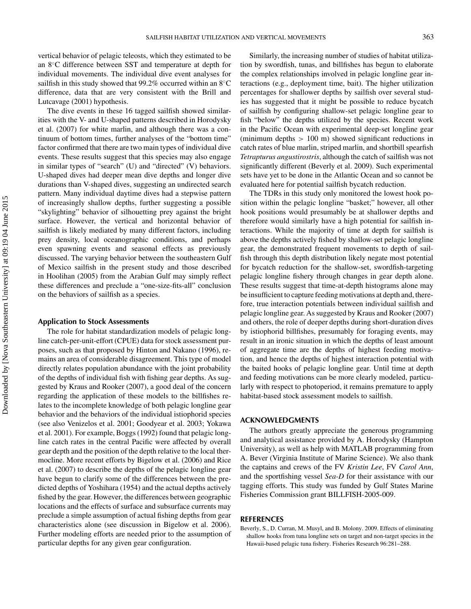vertical behavior of pelagic teleosts, which they estimated to be an 8◦C difference between SST and temperature at depth for individual movements. The individual dive event analyses for sailfish in this study showed that 99.2% occurred within an 8°C difference, data that are very consistent with the Brill and Lutcavage (2001) hypothesis.

The dive events in these 16 tagged sailfish showed similarities with the V- and U-shaped patterns described in Horodysky et al. (2007) for white marlin, and although there was a continuum of bottom times, further analyses of the "bottom time" factor confirmed that there are two main types of individual dive events. These results suggest that this species may also engage in similar types of "search" (U) and "directed" (V) behaviors. U-shaped dives had deeper mean dive depths and longer dive durations than V-shaped dives, suggesting an undirected search pattern. Many individual daytime dives had a stepwise pattern of increasingly shallow depths, further suggesting a possible "skylighting" behavior of silhouetting prey against the bright surface. However, the vertical and horizontal behavior of sailfish is likely mediated by many different factors, including prey density, local oceanographic conditions, and perhaps even spawning events and seasonal effects as previously discussed. The varying behavior between the southeastern Gulf of Mexico sailfish in the present study and those described in Hoolihan (2005) from the Arabian Gulf may simply reflect these differences and preclude a "one-size-fits-all" conclusion on the behaviors of sailfish as a species.

#### **Application to Stock Assessments**

The role for habitat standardization models of pelagic longline catch-per-unit-effort (CPUE) data for stock assessment purposes, such as that proposed by Hinton and Nakano (1996), remains an area of considerable disagreement. This type of model directly relates population abundance with the joint probability of the depths of individual fish with fishing gear depths. As suggested by Kraus and Rooker (2007), a good deal of the concern regarding the application of these models to the billfishes relates to the incomplete knowledge of both pelagic longline gear behavior and the behaviors of the individual istiophorid species (see also Venizelos et al. 2001; Goodyear et al. 2003; Yokawa et al. 2001). For example, Boggs (1992) found that pelagic longline catch rates in the central Pacific were affected by overall gear depth and the position of the depth relative to the local thermocline. More recent efforts by Bigelow et al. (2006) and Rice et al. (2007) to describe the depths of the pelagic longline gear have begun to clarify some of the differences between the predicted depths of Yoshihara (1954) and the actual depths actively fished by the gear. However, the differences between geographic locations and the effects of surface and subsurface currents may preclude a simple assumption of actual fishing depths from gear characteristics alone (see discussion in Bigelow et al. 2006). Further modeling efforts are needed prior to the assumption of particular depths for any given gear configuration.

Similarly, the increasing number of studies of habitat utilization by swordfish, tunas, and billfishes has begun to elaborate the complex relationships involved in pelagic longline gear interactions (e.g., deployment time, bait). The higher utilization percentages for shallower depths by sailfish over several studies has suggested that it might be possible to reduce bycatch of sailfish by configuring shallow-set pelagic longline gear to fish "below" the depths utilized by the species. Recent work in the Pacific Ocean with experimental deep-set longline gear (minimum depths *>* 100 m) showed significant reductions in catch rates of blue marlin, striped marlin, and shortbill spearfish *Tetrapturus angustirostris*, although the catch of sailfish was not significantly different (Beverly et al. 2009). Such experimental sets have yet to be done in the Atlantic Ocean and so cannot be evaluated here for potential sailfish bycatch reduction.

The TDRs in this study only monitored the lowest hook position within the pelagic longline "basket;" however, all other hook positions would presumably be at shallower depths and therefore would similarly have a high potential for sailfish interactions. While the majority of time at depth for sailfish is above the depths actively fished by shallow-set pelagic longline gear, the demonstrated frequent movements to depth of sailfish through this depth distribution likely negate most potential for bycatch reduction for the shallow-set, swordfish-targeting pelagic longline fishery through changes in gear depth alone. These results suggest that time-at-depth histograms alone may be insufficient to capture feeding motivations at depth and, therefore, true interaction potentials between individual sailfish and pelagic longline gear. As suggested by Kraus and Rooker (2007) and others, the role of deeper depths during short-duration dives by istiophorid billfishes, presumably for foraging events, may result in an ironic situation in which the depths of least amount of aggregate time are the depths of highest feeding motivation, and hence the depths of highest interaction potential with the baited hooks of pelagic longline gear. Until time at depth and feeding motivations can be more clearly modeled, particularly with respect to photoperiod, it remains premature to apply habitat-based stock assessment models to sailfish.

#### **ACKNOWLEDGMENTS**

The authors greatly appreciate the generous programming and analytical assistance provided by A. Horodysky (Hampton University), as well as help with MATLAB programming from A. Bever (Virginia Institute of Marine Science). We also thank the captains and crews of the FV *Kristin Lee*, FV *Carol Ann*, and the sportfishing vessel *Sea-D* for their assistance with our tagging efforts. This study was funded by Gulf States Marine Fisheries Commission grant BILLFISH-2005-009.

#### **REFERENCES**

Beverly, S., D. Curran, M. Musyl, and B. Molony. 2009. Effects of eliminating shallow hooks from tuna longline sets on target and non-target species in the Hawaii-based pelagic tuna fishery. Fisheries Research 96:281–288.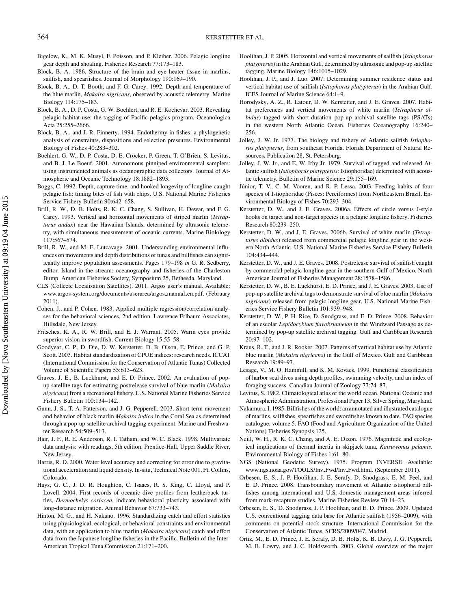- Bigelow, K., M. K. Musyl, F. Poisson, and P. Kleiber. 2006. Pelagic longline gear depth and shoaling. Fisheries Research 77:173–183.
- Block, B. A. 1986. Structure of the brain and eye heater tissue in marlins, sailfish, and spearfishes. Journal of Morphology 190:169–190.
- Block, B. A., D. T. Booth, and F. G. Carey. 1992. Depth and temperature of the blue marlin, *Makaira nigricans*, observed by acoustic telemetry. Marine Biology 114:175–183.
- Block, B. A., D. P. Costa, G. W. Boehlert, and R. E. Kochevar. 2003. Revealing pelagic habitat use: the tagging of Pacific pelagics program. Oceanologica Acta 25:255–2666.
- Block, B. A., and J. R. Finnerty. 1994. Endothermy in fishes: a phylogenetic analysis of constraints, dispositions and selection pressures. Environmental Biology of Fishes 40:283–302.
- Boehlert, G. W., D. P. Costa, D. E. Crocker, P. Green, T. O'Brien, S. Levitus, and B. J. Le Boeuf. 2001. Autonomous pinniped environmental samplers: using instrumented animals as oceanographic data collectors. Journal of Atmospheric and Oceanic Technology 18:1882–1893.
- Boggs, C. 1992. Depth, capture time, and hooked longevity of longline-caught pelagic fish: timing bites of fish with chips. U.S. National Marine Fisheries Service Fishery Bulletin 90:642–658.
- Brill, R. W., D. B. Holts, R. K. C. Chang, S. Sullivan, H. Dewar, and F. G. Carey. 1993. Vertical and horizontal movements of striped marlin (*Tetrapturus audax*) near the Hawaiian Islands, determined by ultrasonic telemetry, with simultaneous measurement of oceanic currents. Marine Biolology 117:567–574.
- Brill, R. W., and M. E. Lutcavage. 2001. Understanding environmental influences on movements and depth distributions of tunas and billfishes can significantly improve population assessments. Pages 179–198 *in* G. R. Sedberry, editor. Island in the stream: oceanography and fisheries of the Charleston Bump. American Fisheries Society, Symposium 25, Bethesda, Maryland.
- CLS (Collecte Localisation Satellites). 2011. Argos user's manual. Available: www.argos-system.org/documents/userarea/argos manual en.pdf. (February 2011).
- Cohen, J., and P. Cohen. 1983. Applied multiple regression/correlation analyses for the behavioral sciences, 2nd edition. Lawrence Erlbaum Associates, Hillsdale, New Jersey.
- Fritsches, K. A., R. W. Brill, and E. J. Warrant. 2005. Warm eyes provide superior vision in swordfish. Current Biology 15:55–58.
- Goodyear, C. P., D. Die, D. W. Kerstetter, D. B. Olson, E. Prince, and G. P. Scott. 2003. Habitat standardization of CPUE indices: research needs. ICCAT (International Commission for the Conservation of Atlantic Tunas) Collected Volume of Scientific Papers 55:613–623.
- Graves, J. E., B. Luckhurst, and E. D. Prince. 2002. An evaluation of popup satellite tags for estimating postrelease survival of blue marlin (*Makaira nigricans*) from a recreational fishery. U.S. National Marine Fisheries Service Fishery Bulletin 100:134–142.
- Gunn, J. S., T. A. Patterson, and J. G. Pepperell. 2003. Short-term movement and behavior of black marlin *Makaira indica* in the Coral Sea as determined through a pop-up satellite archival tagging experiment. Marine and Freshwater Research 54:509–513.
- Hair, J. F., R. E. Anderson, R. I. Tatham, and W. C. Black. 1998. Multivariate data analysis: with readings, 5th edition. Prentice-Hall, Upper Saddle River, New Jersey.
- Harris, R. D. 2000. Water level accuracy and correcting for error due to gravitational acceleration and liquid density. In-situ, Technical Note 001, Ft. Collins, Colorado.
- Hays, G. C., J. D. R. Houghton, C. Isaacs, R. S. King, C. Lloyd, and P. Lovell. 2004. First records of oceanic dive profiles from leatherback turtles, *Dermochelys coriacea*, indicate behavioral plasticity associated with long-distance migration. Animal Behavior 67:733–743.
- Hinton, M. G., and H. Nakano. 1996. Standardizing catch and effort statistics using physiological, ecological, or behavioral constraints and environmental data, with an application to blue marlin (*Makaira nigricans*) catch and effort data from the Japanese longline fisheries in the Pacific. Bulletin of the Inter-American Tropical Tuna Commission 21:171–200.
- Hoolihan, J. P. 2005. Horizontal and vertical movements of sailfish (*Istiophorus platypterus*) in the Arabian Gulf, determined by ultrasonic and pop-up satellite tagging. Marine Biology 146:1015–1029.
- Hoolihan, J. P., and J. Luo. 2007. Determining summer residence status and vertical habitat use of sailfish (*Istiophorus platypterus*) in the Arabian Gulf. ICES Journal of Marine Science 64:1–9.
- Horodysky, A. Z., R. Latour, D. W. Kerstetter, and J. E. Graves. 2007. Habitat preferences and vertical movements of white marlin (*Tetrapturus albidus*) tagged with short-duration pop-up archival satellite tags (PSATs) in the western North Atlantic Ocean. Fisheries Oceanography 16:240– 256.
- Jolley, J. W. Jr. 1977. The biology and fishery of Atlantic sailfish *Istiophorus platypterus*, from southeast Florida. Florida Department of Natural Resources, Publication 28, St. Petersburg.
- Jolley, J. W. Jr., and E. W. Irby Jr. 1979. Survival of tagged and released Atlantic sailfish (*Istiophorus platypterus*: Istiophoridae) determined with acoustic telemetry. Bulletin of Marine Science 29:155–169.
- Júnior, T. V., C. M. Vooren, and R. P. Lessa. 2003. Feeding habits of four species of Istiophoridae (Pisces: Perciformes) from Northeastern Brazil. Environmental Biology of Fishes 70:293–304.
- Kerstetter, D. W., and J. E. Graves. 2006a. Effects of circle versus J-style hooks on target and non-target species in a pelagic longline fishery. Fisheries Research 80:239–250.
- Kerstetter, D. W., and J. E. Graves. 2006b. Survival of white marlin (*Tetrapturus albidus*) released from commercial pelagic longline gear in the western North Atlantic. U.S. National Marine Fisheries Service Fishery Bulletin 104:434–444.
- Kerstetter, D. W., and J. E. Graves. 2008. Postrelease survival of sailfish caught by commercial pelagic longline gear in the southern Gulf of Mexico. North American Journal of Fisheries Management 28:1578–1586.
- Kerstetter, D. W., B. E. Luckhurst, E. D. Prince, and J. E. Graves. 2003. Use of pop-up satellite archival tags to demonstrate survival of blue marlin (*Makaira nigricans*) released from pelagic longline gear. U.S. National Marine Fisheries Service Fishery Bulletin 101:939–948.
- Kerstetter, D. W., P. H. Rice, D. Snodgrass, and E. D. Prince. 2008. Behavior of an escolar *Lepidocybium flavobrunneum* in the Windward Passage as determined by pop-up satellite archival tagging. Gulf and Caribbean Research 20:97–102.
- Kraus, R. T., and J. R. Rooker. 2007. Patterns of vertical habitat use by Atlantic blue marlin (*Makaira nigricans*) in the Gulf of Mexico. Gulf and Caribbean Research 19:89–97.
- Lesage, V., M. O. Hammill, and K. M. Kovacs. 1999. Functional classification of harbor seal dives using depth profiles, swimming velocity, and an index of foraging success. Canadian Journal of Zoology 77:74–87.

Levitus, S. 1982. Climatological atlas of the world ocean. National Oceanic and Atmospheric Administration, Professional Paper 13, Silver Spring, Maryland.

- Nakamura, I. 1985. Billfishes of the world: an annotated and illustrated catalogue of marlins, sailfishes, spearfishes and swordfishes known to date. FAO species catalogue, volume 5. FAO (Food and Agriculture Organization of the United Nations) Fisheries Synopsis 125.
- Neill, W. H., R. K. C. Chang, and A. E. Dizon. 1976. Magnitude and ecological implications of thermal inertia in skipjack tuna, *Katsuwonus pelamis*. Environmental Biology of Fishes 1:61–80.
- NGS (National Geodetic Survey). 1975. Program INVERSE. Available: www.ngs.noaa.gov/TOOLS/Inv Fwd/Inv Fwd.html. (September 2011).
- Orbesen, E. S., J. P. Hoolihan, J. E. Serafy, D. Snodgrass, E. M. Peel, and E. D. Prince. 2008. Transboundary movement of Atlantic istiophorid billfishes among international and U.S. domestic management areas inferred from mark-recapture studies. Marine Fisheries Review 70:14–23.
- Orbesen, E. S., D. Snodgrass, J. P. Hoolihan, and E. D. Prince. 2009. Updated U.S. conventional tagging data base for Atlantic sailfish (1956–2009), with comments on potential stock structure. International Commission for the Conservation of Atlantic Tunas, SCRS/2009/047, Madrid.
- Ortiz, M., E. D. Prince, J. E. Serafy, D. B. Holts, K. B. Davy, J. G. Pepperell, M. B. Lowry, and J. C. Holdsworth. 2003. Global overview of the major